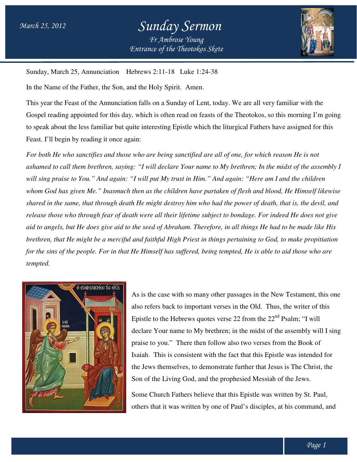

Sunday, March 25, Annunciation Hebrews 2:11-18 Luke 1:24-38

In the Name of the Father, the Son, and the Holy Spirit. Amen.

This year the Feast of the Annunciation falls on a Sunday of Lent, today. We are all very familiar with the Gospel reading appointed for this day, which is often read on feasts of the Theotokos, so this morning I'm going<br>to speak about the less familiar but quite interesting Epistle which the liturgical Fathers have assigned for to speak about the less familiar but quite interesting Epistle which the liturgical Fathers have assigned for this Feast. I'll begin by reading it once again:

*For both He who sanctifies and those who are being sanctified are all of one, for which reason He is not ashamed to call them brethren, saying: "I will declare Your name to My brethren; In t* will sing praise to You." And again: "I will put My trust in Him." And again: "Here am I and the children *whom God has given Me." Inasmuch then as the children have partaken of flesh and blood, He Himself likewise*  shared in the same, that through death He might destroy him who had the power of death, that is, the devil, and *release those who through fear of death were all their lifetime subject to bondage. For indeed He does not give*  aid to angels, but He does give aid to the seed of Abraham. Therefore, in all things He had to be made like His *brethren, that He might be a merciful and faithful High Priest in things pertaining to God, to make propitiation*  for the sins of the people. For in that He Himself has suffered, being tempted, He is able to aid those who are *tempted. ho sanctifies and those who are being sanctified are all of one, for which reason*<br>*ll them brethren, saying: "I will declare Your name to My brethren; In the midst*<br>*e to You." And again: "I will put My trust in Him." An the midst of the assembly I dage. For indeed He does not give<br>things He had to be made like His<br>ining to God, to make propitiation<br>, He is able to aid those who are* 



As is the case with so many other passages in the New Testament, this one also refers back to important verses in the Old. Thus, the writer of this Epistle to the Hebrews quotes verse 22 from the  $22<sup>nd</sup>$  Psalm; "I will declare Your name to My brethren; in the midst of the assembly will I sing praise to you." There then follow also two verses from the Book of Isaiah. Isaiah. This is consistent with the fact that this Epistle was intended for the Jews themselves, to demonstrate further that Jesus is The Christ, the the Jews themselves, to demonstrate further that Jesus is The Chi<br>Son of the Living God, and the prophesied Messiah of the Jews. to the Hebrews quotes verse 22 from the 22<sup>nd</sup> Psalm; "I will<br>Your name to My brethren; in the midst of the assembly will<br>o you." There then follow also two verses from the Book of Son of the Living God, and the prophesied Messiah of the Jews.<br>Some Church Fathers believe that this Epistle was written by St. Paul<br>others that it was written by one of Paul's disciples, at his command,

Some Church Fathers believe that this Epistle was written by St. Paul, others that it was written by one of Paul's disciples, at his command, and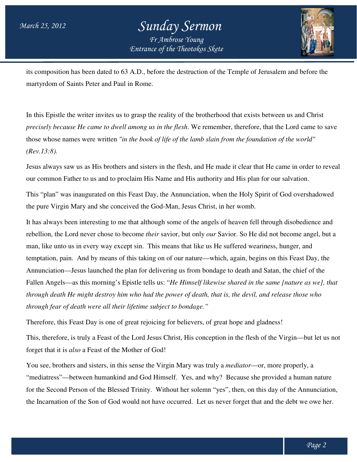

its composition has been dated to 63 A.D., before the destruction of the Temple of Jerusalem and before the martyrdom of Saints Peter and Paul in Rome. Its composition has been dated to 63 A.D., before the destruction of the Temple of Jerusalem and before the martyrdom of Saints Peter and Paul in Rome.<br>In this Epistle the writer invites us to grasp the reality of the brot

In this Epistle the writer invites us to grasp the reality of the brotherhood that exists between us and Christ<br>*precisely because He came to dwell among us in the flesh*. We remember, therefore, that the Lord came to save those whose names were written *"in the book of life of the lamb slain from the foundation of the world" "in the (Rev.13:8).*

Jesus always saw us as His brothers and sisters in the flesh, and He made it clear that He came in order to reveal our common Father to us and to proclaim His Name and His authority and His plan for our salvation.

our common Father to us and to proclaim His Name and His authority and His plan for our salvation.<br>This "plan" was inaugurated on this Feast Day, the Annunciation, when the Holy Spirit of God overshadowed the pure Virgin Mary and she conceived the God God-Man, Jesus Christ, in her womb.

It has always been interesting to me that although some of the angels of heaven fell through disobedience and It has always been interesting to me that although some of the angels of heaven fell through disobedience and<br>rebellion, the Lord never chose to become *their* savior, but only *our* Savior. So He did not become angel, but man, like unto us in every way except sin. This means that like us He suffered weariness, hunger, and temptation, pain. And by means of this taking on of our nature—which, again, begins on this Feast Day, the Annunciation—Jesus launched the plan for delivering us from bondage to death and Satan, the chief of the Annunciation—Jesus launched the plan for delivering us from bondage to death and Satan, the chief of the<br>Fallen Angels—as this morning's Epistle tells us: "*He Himself likewise shared in the same [nature as we], that through death He might destroy him who had the power of death, that is, the devil, devil, and release those who and release those who through fear of death were all their lifetime subject to bondage."* remember, therefore, that the Lord came to save<br>b slain from the foundation of the world"<br>d He made it clear that He came in order to reversuthority and His plan for our salvation.<br>on, when the Holy Spirit of God overshado

Therefore, this Feast Day is one of great rejoicing for believers, of great hope and gladness!

This, therefore, is truly a Feast of the Lord Jesus Christ, His conception in the flesh of the Virgin—but let us not forget that it is *also* a Feast of the Mother of God! This, therefore, is truly a Feast of the Lord Jesus Christ, His conception in the flesh of the Virgin—but l<br>forget that it is *also* a Feast of the Mother of God!<br>You see, brothers and sisters, in this sense the Virgin Mar

"mediatress"—between humankind and God Himself. Yes, and why? Because she provided a human nature for the Second Person of the Blessed Trinity. Without her solemn "yes", then, on this day of the Annunciation, the Incarnation of the Son of God would not have occurred. Let us never forget that and the debt we owe her. y a *mediator*—or, more properly, a<br>y? Because she provided a human<br>yes", then, on this day of the Annun<br>never forget that and the debt we ov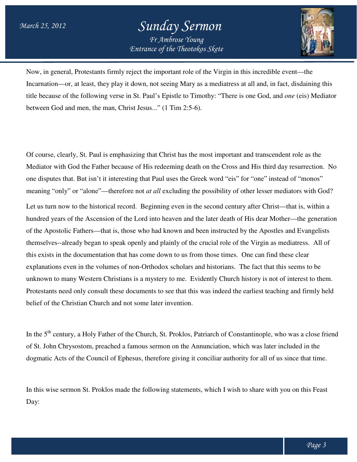

Now, in general, Protestants firmly reject the important role of the Virgin in this incredible event—the Incarnation—or, at least, they play it down, not seeing Mary as a mediatress at all and, in fact, disdaining this title because of the following verse in St. Paul's Epistle to Timothy: "There is one God, and one (eis) Mediator between God and men, the man, Christ Jesus..." (1 Tim 2:5-6).

Of course, clearly, St. Paul is emphasizing that Christ has the most important and transcendent role as the Mediator with God the Father because of His redeeming death on the Cross and His third day resurrection. one disputes that. But isn't it interesting that Paul uses the Greek word "eis" for "one" instead of "monos" meaning "only" or "alone"—therefore not *at all* excluding the possibility of other lesser mediators with God? Let us turn now to the historical record. Beginning even in the second century after Chr hundred years of the Ascension of the Lord into heaven and the later death of His dear Mother—the generation of the Apostolic Fathers—that is, those who had known and been instructed by the Apostles and Evangelists themselves--already began to speak openly and plainly of the crucial role of the Virgin as mediatress. mediatress. All of this exists in the documentation that has come down to us from those times. explanations even in the volumes of non-Orthodox scholars and historians. The fact that this seems to be unknown to many Western Christians is a mystery to me. Evidently Church history is not of interest to them. Protestants need only consult these documents to see that this was indeed the earliest teaching and firmly held belief of the Christian Church and not some later invention. Protestants need only consult these documents to see that this was indeed the earliest teaching and firmly held<br>belief of the Christian Church and not some later invention.<br>In the 5<sup>th</sup> century, a Holy Father of the Church learly, St. Paul is emphasizing that Christ has the most important and transcendent role as the<br>th God the Father because of His redeeming death on the Cross and His third day resurrection.<br>i that. But isn't it interesting hundred years of the Ascension of the Lord into heaven and the later death of His dear Mother—the g<br>of the Apostolic Fathers—that is, those who had known and been instructed by the Apostles and Evan<br>themselves--already beg resurrection. No ul uses the Greek word "eis" for "one" instead of "monos"<br>
l excluding the possibility of other lesser mediators with God'<br>
ing even in the second century after Christ—that is, within a

of St. John Chrysostom, preached a famous sermon on the Annunciation, which was later included in the dogmatic Acts of the Council of Ephesus, therefore giving it conciliar authority for all of us since that time.

In this wise sermon St. Proklos made the following statements, which I wish to share with you on this Feast Day: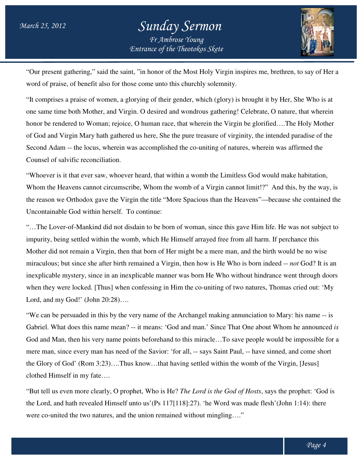

"Our present gathering," said the saint, "in honor of the Most Holy Virgin inspires me, brethren, to say of Her a word of praise, of benefit also for those come unto this churchly solemnity.

"It comprises a praise of women, a glorying of their gender, which (glory) is brought it by Her, She Who is at one same time both Mother, and Virgin. O desired and wondrous gathering! Celebrate, O nature, that wherein honor be rendered to Woman; rejoice, O human race, that wherein the Virgin be glorified….The Holy Mother of God and Virgin Mary hath gathered us here, She the pure treasure of virginity, the intended paradise of the Second Adam -- the locus, wherein was accomplished the co-uniting of natures, wherein was affirmed the Counsel of salvific reconciliation. "Our present gathering," said the saint, "in honor of the Most Holy Virgin inspires me, brethren, to say of word of praise, of benefit also for those come unto this churchly solemnity.<br>"It comprises a praise of women, a gl wherein the Virgin be glorified....The Holy Mother<br>re treasure of virginity, the intended paradise of the<br>co-uniting of natures, wherein was affirmed the<br>womb the Limitless God would make habitation,<br>b of a Virgin cannot l

"Whoever is it that ever saw, whoever heard, that within a womb the Limitless God would make habitation, Whom the Heavens cannot circumscribe, Whom the womb of a Virgin cannot limit!?" And this, by the way, is "Whoever is it that ever saw, whoever heard, that within a womb the Limitless God would make habitation,<br>Whom the Heavens cannot circumscribe, Whom the womb of a Virgin cannot limit!?" And this, by the way, is<br>the reason w Uncontainable God within herself. To continue:

"…The Lover-of-Mankind did not disdain to be born of woman, since this gave Him lif life. He was not subject to impurity, being settled within the womb, which He Himself arrayed free from all harm. If perchance this Mother did not remain a Virgin, then that born of Her might be a mere man, and the birth would be no wise miraculous; but since she after birth remained a Virgin, then how is He Who is born indeed -- *not* God? It is an inexplicable mystery, since in an inexplicable manner was born He Who without hindrance went through doors when they were locked. [Thus] when confessing in Him the co-uniting of two natures, Thomas cried out: 'My Lord, and my God!' (John 20:28)…. Mankind did not disdain to be born of woman, since this gave Him life. He was not subject to tritled within the womb, which He Himself arrayed free from all harm. If perchance this main a Virgin, then that born of Her migh

"We can be persuaded in this by the very name of the Archangel making annunciation to Mary: his name -- is Gabriel. What does this name mean? -- it means: 'God and man.' Since That One about Whom he announced is God and Man, then his very name points beforehand to this miracle…To save people would be impossible for a mere man, since every man has need of the Savior: 'for all, -- says Saint Paul, -- have sinned, and come short the Glory of God' (Rom 3:23)....Thus know...that having settled within the womb of the Virgin, [Jesus] clothed Himself in my fate….

"But tell us even more clearly, O prophet, Who is He? *The Lord is the God of Hosts*, says the prophet: 'God is the Lord, and hath revealed Himself unto us'(Ps 117[118]:27). 'he Word was made flesh'(John 1:14): there the Lord, and hath revealed Himself unto us' (Ps 117[118]: 27). 'he Word was made flesh' were co-united the two natures, and the union remained without mingling...."